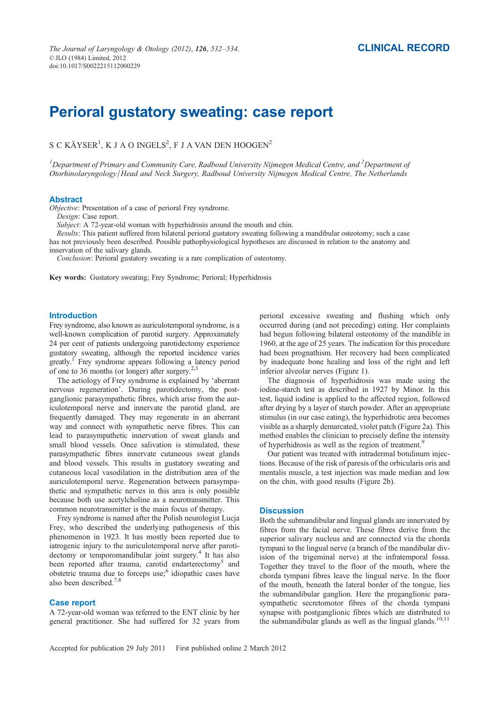# Perioral gustatory sweating: case report

S C KÄYSER $^1$ , K J A O INGELS $^2$ , F J A VAN DEN HOOGEN $^2$ 

 $^1$ Department of Primary and Community Care, Radboud University Nijmegen Medical Centre, and  $^2$ Department of Otorhinolaryngology/Head and Neck Surgery, Radboud University Nijmegen Medical Centre, The Netherlands

## Abstract

Objective: Presentation of a case of perioral Frey syndrome.

Design: Case report.

Subject: A 72-year-old woman with hyperhidrosis around the mouth and chin.

Results: This patient suffered from bilateral perioral gustatory sweating following a mandibular osteotomy; such a case has not previously been described. Possible pathophysiological hypotheses are discussed in relation to the anatomy and innervation of the salivary glands.

Conclusion: Perioral gustatory sweating is a rare complication of osteotomy.

Key words: Gustatory sweating; Frey Syndrome; Perioral; Hyperhidrosis

## Introduction

Frey syndrome, also known as auriculotemporal syndrome, is a well-known complication of parotid surgery. Approximately 24 per cent of patients undergoing parotidectomy experience gustatory sweating, although the reported incidence varies greatly.1 Frey syndrome appears following a latency period of one to 36 months (or longer) after surgery. $2,3$ 

The aetiology of Frey syndrome is explained by 'aberrant nervous regeneration'. During parotidectomy, the postganglionic parasympathetic fibres, which arise from the auriculotemporal nerve and innervate the parotid gland, are frequently damaged. They may regenerate in an aberrant way and connect with sympathetic nerve fibres. This can lead to parasympathetic innervation of sweat glands and small blood vessels. Once salivation is stimulated, these parasympathetic fibres innervate cutaneous sweat glands and blood vessels. This results in gustatory sweating and cutaneous local vasodilation in the distribution area of the auriculotemporal nerve. Regeneration between parasympathetic and sympathetic nerves in this area is only possible because both use acetylcholine as a neurotransmitter. This common neurotransmitter is the main focus of therapy.

Frey syndrome is named after the Polish neurologist Lucja Frey, who described the underlying pathogenesis of this phenomenon in 1923. It has mostly been reported due to iatrogenic injury to the auriculotemporal nerve after parotidectomy or temporomandibular joint surgery.<sup>4</sup> It has also been reported after trauma, carotid endarterectomy<sup>5</sup> and obstetric trauma due to forceps use;<sup>6</sup> idiopathic cases have also been described.<sup>7,</sup>

## Case report

A 72-year-old woman was referred to the ENT clinic by her general practitioner. She had suffered for 32 years from perioral excessive sweating and flushing which only occurred during (and not preceding) eating. Her complaints had begun following bilateral osteotomy of the mandible in 1960, at the age of 25 years. The indication for this procedure had been prognathism. Her recovery had been complicated by inadequate bone healing and loss of the right and left inferior alveolar nerves (Figure 1).

The diagnosis of hyperhidrosis was made using the iodine-starch test as described in 1927 by Minor. In this test, liquid iodine is applied to the affected region, followed after drying by a layer of starch powder. After an appropriate stimulus (in our case eating), the hyperhidrotic area becomes visible as a sharply demarcated, violet patch (Figure 2a). This method enables the clinician to precisely define the intensity of hyperhidrosis as well as the region of treatment.<sup>9</sup>

Our patient was treated with intradermal botulinum injections. Because of the risk of paresis of the orbicularis oris and mentalis muscle, a test injection was made median and low on the chin, with good results (Figure 2b).

# **Discussion**

Both the submandibular and lingual glands are innervated by fibres from the facial nerve. These fibres derive from the superior salivary nucleus and are connected via the chorda tympani to the lingual nerve (a branch of the mandibular division of the trigeminal nerve) at the infratemporal fossa. Together they travel to the floor of the mouth, where the chorda tympani fibres leave the lingual nerve. In the floor of the mouth, beneath the lateral border of the tongue, lies the submandibular ganglion. Here the preganglionic parasympathetic secretomotor fibres of the chorda tympani synapse with postganglionic fibres which are distributed to the submandibular glands as well as the lingual glands.<sup>10,11</sup>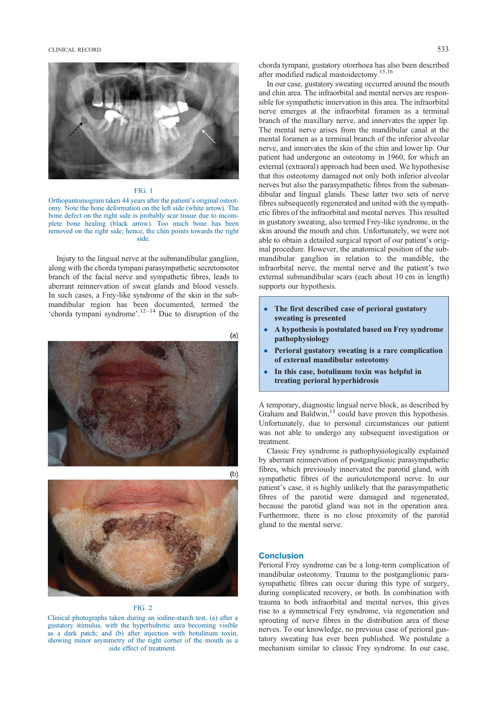CLINICAL RECORD 533



## FIG. 1

Orthopantomogram taken 44 years after the patient's original osteotomy. Note the bone deformation on the left side (white arrow). The bone defect on the right side is probably scar tissue due to incomplete bone healing (black arrow). Too much bone has been removed on the right side; hence, the chin points towards the right side.

Injury to the lingual nerve at the submandibular ganglion, along with the chorda tympani parasympathetic secretomotor branch of the facial nerve and sympathetic fibres, leads to aberrant reinnervation of sweat glands and blood vessels. In such cases, a Frey-like syndrome of the skin in the submandibular region has been documented, termed the 'chorda tympani syndrome'. $12-14$  Due to disruption of the





## FIG. 2

Clinical photographs taken during an iodine-starch test, (a) after a gustatory stimulus, with the hyperhidrotic area becoming visible as a dark patch; and (b) after injection with botulinum toxin, showing minor asymmetry of the right corner of the mouth as a side effect of treatment.

chorda tympani, gustatory otorrhoea has also been described after modified radical mastoidectomy.15,16

In our case, gustatory sweating occurred around the mouth and chin area. The infraorbital and mental nerves are responsible for sympathetic innervation in this area. The infraorbital nerve emerges at the infraorbital foramen as a terminal branch of the maxillary nerve, and innervates the upper lip. The mental nerve arises from the mandibular canal at the mental foramen as a terminal branch of the inferior alveolar nerve, and innervates the skin of the chin and lower lip. Our patient had undergone an osteotomy in 1960, for which an external (extraoral) approach had been used. We hypothesise that this osteotomy damaged not only both inferior alveolar nerves but also the parasympathetic fibres from the submandibular and lingual glands. These latter two sets of nerve fibres subsequently regenerated and united with the sympathetic fibres of the infraorbital and mental nerves. This resulted in gustatory sweating, also termed Frey-like syndrome, in the skin around the mouth and chin. Unfortunately, we were not able to obtain a detailed surgical report of our patient's original procedure. However, the anatomical position of the submandibular ganglion in relation to the mandible, the infraorbital nerve, the mental nerve and the patient's two external submandibular scars (each about 10 cm in length) supports our hypothesis.

- The first described case of perioral gustatory sweating is presented
- A hypothesis is postulated based on Frey syndrome pathophysiology
- Perioral gustatory sweating is a rare complication of external mandibular osteotomy
- In this case, botulinum toxin was helpful in treating perioral hyperhidrosis

A temporary, diagnostic lingual nerve block, as described by Graham and Baldwin,<sup>13</sup> could have proven this hypothesis. Unfortunately, due to personal circumstances our patient was not able to undergo any subsequent investigation or treatment.

Classic Frey syndrome is pathophysiologically explained by aberrant reinnervation of postganglionic parasympathetic fibres, which previously innervated the parotid gland, with sympathetic fibres of the auriculotemporal nerve. In our patient's case, it is highly unlikely that the parasympathetic fibres of the parotid were damaged and regenerated, because the parotid gland was not in the operation area. Furthermore, there is no close proximity of the parotid gland to the mental nerve.

## **Conclusion**

Perioral Frey syndrome can be a long-term complication of mandibular osteotomy. Trauma to the postganglionic parasympathetic fibres can occur during this type of surgery, during complicated recovery, or both. In combination with trauma to both infraorbital and mental nerves, this gives rise to a symmetrical Frey syndrome, via regeneration and sprouting of nerve fibres in the distribution area of these nerves. To our knowledge, no previous case of perioral gustatory sweating has ever been published. We postulate a mechanism similar to classic Frey syndrome. In our case,